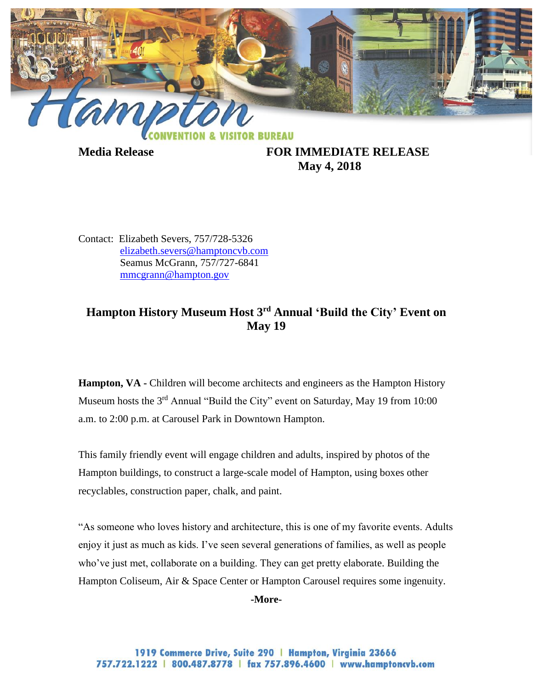

**Media Release FOR IMMEDIATE RELEASE May 4, 2018**

Contact: Elizabeth Severs, 757/728-5326 [elizabeth.severs@hamptoncvb.com](mailto:elizabeth.severs@hamptoncvb.com) Seamus McGrann, 757/727-6841 [mmcgrann@hampton.gov](mailto:mmcgrann@hampton.gov)

## **Hampton History Museum Host 3rd Annual 'Build the City' Event on May 19**

**Hampton, VA -** Children will become architects and engineers as the Hampton History Museum hosts the 3<sup>rd</sup> Annual "Build the City" event on Saturday, May 19 from 10:00 a.m. to 2:00 p.m. at Carousel Park in Downtown Hampton.

This family friendly event will engage children and adults, inspired by photos of the Hampton buildings, to construct a large-scale model of Hampton, using boxes other recyclables, construction paper, chalk, and paint.

"As someone who loves history and architecture, this is one of my favorite events. Adults enjoy it just as much as kids. I've seen several generations of families, as well as people who've just met, collaborate on a building. They can get pretty elaborate. Building the Hampton Coliseum, Air & Space Center or Hampton Carousel requires some ingenuity.

**-More-**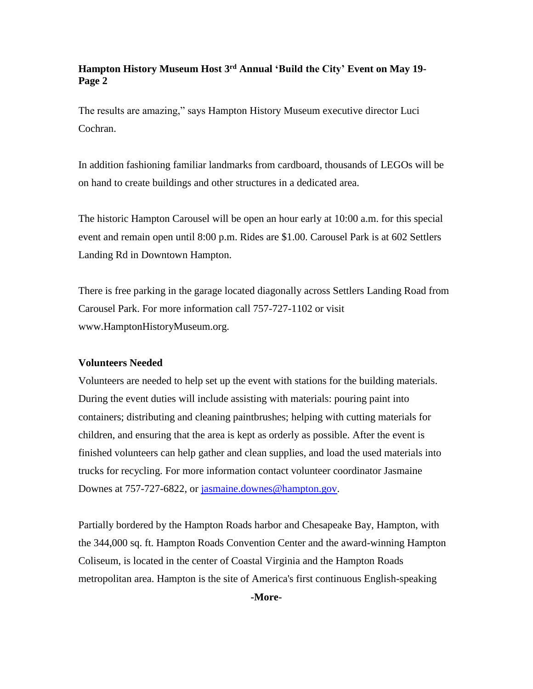## **Hampton History Museum Host 3rd Annual 'Build the City' Event on May 19- Page 2**

The results are amazing," says Hampton History Museum executive director Luci Cochran.

In addition fashioning familiar landmarks from cardboard, thousands of LEGOs will be on hand to create buildings and other structures in a dedicated area.

The historic Hampton Carousel will be open an hour early at 10:00 a.m. for this special event and remain open until 8:00 p.m. Rides are \$1.00. Carousel Park is at 602 Settlers Landing Rd in Downtown Hampton.

There is free parking in the garage located diagonally across Settlers Landing Road from Carousel Park. For more information call 757-727-1102 or visit www.HamptonHistoryMuseum.org.

## **Volunteers Needed**

Volunteers are needed to help set up the event with stations for the building materials. During the event duties will include assisting with materials: pouring paint into containers; distributing and cleaning paintbrushes; helping with cutting materials for children, and ensuring that the area is kept as orderly as possible. After the event is finished volunteers can help gather and clean supplies, and load the used materials into trucks for recycling. For more information contact volunteer coordinator Jasmaine Downes at 757-727-6822, or [jasmaine.downes@hampton.gov.](mailto:jasmaine.downes@hampton.gov)

Partially bordered by the Hampton Roads harbor and Chesapeake Bay, Hampton, with the 344,000 sq. ft. Hampton Roads Convention Center and the award-winning Hampton Coliseum, is located in the center of Coastal Virginia and the Hampton Roads metropolitan area. Hampton is the site of America's first continuous English-speaking

**-More-**